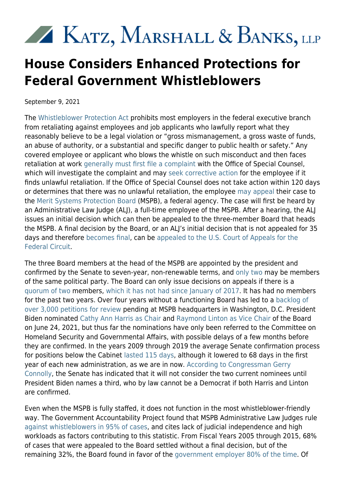## KATZ, MARSHALL & BANKS, LLP

## **House Considers Enhanced Protections for Federal Government Whistleblowers**

September 9, 2021

The [Whistleblower Protection Act](https://www.kmblegal.com/resources/whistleblower-protection-act) prohibits most employers in the federal executive branch from retaliating against employees and job applicants who lawfully report what they reasonably believe to be a legal violation or "gross mismanagement, a gross waste of funds, an abuse of authority, or a substantial and specific danger to public health or safety." Any covered employee or applicant who blows the whistle on such misconduct and then faces retaliation at work [generally must first file a complaint](https://www.law.cornell.edu/uscode/text/5/1214) with the Office of Special Counsel, which will investigate the complaint and may [seek corrective action](https://osc.gov/Services/Pages/PPP-Process.aspx) for the employee if it finds unlawful retaliation. If the Office of Special Counsel does not take action within 120 days or determines that there was no unlawful retaliation, the employee [may appeal](https://www.law.cornell.edu/uscode/text/5/1221) their case to the [Merit Systems Protection Board](https://www.mspb.gov/about/about.htm) (MSPB), a federal agency. The case will first be heard by an Administrative Law Judge (ALJ), a full-time employee of the MSPB. After a hearing, the ALJ issues an initial decision which can then be appealed to the three-member Board that heads the MSPB. A final decision by the Board, or an ALJ's initial decision that is not appealed for 35 days and therefore [becomes final](https://www.law.cornell.edu/cfr/text/5/1201.113), can be [appealed to the U.S. Court of Appeals for the](https://www.govinfo.gov/content/pkg/USCODE-2011-title5/html/USCODE-2011-title5-partIII-subpartF-chap77-sec7703.htm) [Federal Circuit](https://www.govinfo.gov/content/pkg/USCODE-2011-title5/html/USCODE-2011-title5-partIII-subpartF-chap77-sec7703.htm).

The three Board members at the head of the MSPB are appointed by the president and confirmed by the Senate to seven-year, non-renewable terms, and [only two](https://www.law.cornell.edu/uscode/text/5/1201) may be members of the same political party. The Board can only issue decisions on appeals if there is a [quorum of two](https://www.mspb.gov/FAQs_Absence_of%20Board_Quorum_June_25_2021.pdf) members, [which it has not had since January of 2017](https://www.mspb.gov/publicaffairs/press_releases/MSPB_FY_2020_Annual_Report_Accessible_Version_1801367.pdf). It has had no members for the past two years. Over four years without a functioning Board has led to a [backlog of](https://www.mspb.gov/foia/files/June_2021_PFRs_Received_and_Pending_Counts%20508.pdf) [over 3,000 petitions for review](https://www.mspb.gov/foia/files/June_2021_PFRs_Received_and_Pending_Counts%20508.pdf) pending at MSPB headquarters in Washington, D.C. President Biden nominated [Cathy Ann Harris as Chair](https://www.congress.gov/nomination/117th-congress/763?q=%7B%22search%22%3A%5B%22merit+systems+protection+board%22%5D%7D&s=1&r=1) and [Raymond Linton as Vice Chair](https://www.congress.gov/nomination/117th-congress/764?q=%7B%22search%22%3A%5B%22merit+systems+protection+board%22%5D%7D&s=1&r=2) of the Board on June 24, 2021, but thus far the nominations have only been referred to the Committee on Homeland Security and Governmental Affairs, with possible delays of a few months before they are confirmed. In the years 2009 through 2019 the average Senate confirmation process for positions below the Cabinet [lasted 115 days](https://presidentialtransition.org/wp-content/uploads/sites/6/2020/01/Senate-Confirmations-Issue-Brief.pdf), although it lowered to 68 days in the first year of each new administration, as we are in now. [According to Congressman Gerry](https://oversight.house.gov/legislation/business-meetings/the-committee-will-consider-the-following-1-hr1204-district-of) [Connolly](https://oversight.house.gov/legislation/business-meetings/the-committee-will-consider-the-following-1-hr1204-district-of), the Senate has indicated that it will not consider the two current nominees until President Biden names a third, who by law cannot be a Democrat if both Harris and Linton are confirmed.

Even when the MSPB is fully staffed, it does not function in the most whistleblower-friendly way. The Government Accountability Project found that MSPB Administrative Law Judges rule [against whistleblowers in 95% of cases](https://whistleblower.org/wp-content/uploads/2021/05/2021-WPIA-Written-Testimony.pdf), and cites lack of judicial independence and high workloads as factors contributing to this statistic. From Fiscal Years 2005 through 2015, 68% of cases that were appealed to the Board settled without a final decision, but of the remaining 32%, the Board found in favor of the [government employer 80% of the time.](https://www.mspb.gov/studies/adverse_action_report/15_limitedpowers.htm) Of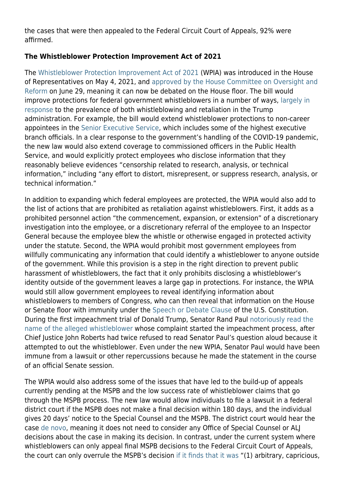the cases that were then appealed to the Federal Circuit Court of Appeals, 92% were affirmed.

## **The Whistleblower Protection Improvement Act of 2021**

The [Whistleblower Protection Improvement Act of 2021](https://docs.house.gov/meetings/GO/GO00/20210629/112869/BILLS-117-HR2988-M000087-Amdt-4.pdf) (WPIA) was introduced in the House of Representatives on May 4, 2021, and [approved by the House Committee on Oversight and](https://www.congress.gov/bill/117th-congress/house-bill/2988/all-actions?s=1&r=13) [Reform](https://www.congress.gov/bill/117th-congress/house-bill/2988/all-actions?s=1&r=13) on June 29, meaning it can now be debated on the House floor. The bill would improve protections for federal government whistleblowers in a number of ways, [largely in](https://oversight.house.gov/news/press-releases/maloney-leads-bipartisan-group-of-members-in-introducing-whistleblower) [response](https://oversight.house.gov/news/press-releases/maloney-leads-bipartisan-group-of-members-in-introducing-whistleblower) to the prevalence of both whistleblowing and retaliation in the Trump administration. For example, the bill would extend whistleblower protections to non-career appointees in the [Senior Executive Service](https://www.opm.gov/policy-data-oversight/senior-executive-service/overview-history/), which includes some of the highest executive branch officials. In a clear response to the government's handling of the COVID-19 pandemic, the new law would also extend coverage to commissioned officers in the Public Health Service, and would explicitly protect employees who disclose information that they reasonably believe evidences "censorship related to research, analysis, or technical information," including "any effort to distort, misrepresent, or suppress research, analysis, or technical information."

In addition to expanding which federal employees are protected, the WPIA would also add to the list of actions that are prohibited as retaliation against whistleblowers. First, it adds as a prohibited personnel action "the commencement, expansion, or extension" of a discretionary investigation into the employee, or a discretionary referral of the employee to an Inspector General because the employee blew the whistle or otherwise engaged in protected activity under the statute. Second, the WPIA would prohibit most government employees from willfully communicating any information that could identify a whistleblower to anyone outside of the government. While this provision is a step in the right direction to prevent public harassment of whistleblowers, the fact that it only prohibits disclosing a whistleblower's identity outside of the government leaves a large gap in protections. For instance, the WPIA would still allow government employees to reveal identifying information about whistleblowers to members of Congress, who can then reveal that information on the House or Senate floor with immunity under the [Speech or Debate Clause](https://www.law.cornell.edu/constitution-conan/article-1/section-6/clause-1/privilege-of-speech-or-debate) of the U.S. Constitution. During the first impeachment trial of Donald Trump, Senator Rand Paul [notoriously read the](https://www.politico.com/news/2020/02/04/rand-paul-reads-alleged-whistleblowers-name-senate-floor-110684) [name of the alleged whistleblower](https://www.politico.com/news/2020/02/04/rand-paul-reads-alleged-whistleblowers-name-senate-floor-110684) whose complaint started the impeachment process, after Chief Justice John Roberts had twice refused to read Senator Paul's question aloud because it attempted to out the whistleblower. Even under the new WPIA, Senator Paul would have been immune from a lawsuit or other repercussions because he made the statement in the course of an official Senate session.

The WPIA would also address some of the issues that have led to the build-up of appeals currently pending at the MSPB and the low success rate of whistleblower claims that go through the MSPB process. The new law would allow individuals to file a lawsuit in a federal district court if the MSPB does not make a final decision within 180 days, and the individual gives 20 days' notice to the Special Counsel and the MSPB. The district court would hear the case [de novo](https://www.law.cornell.edu/wex/de_novo), meaning it does not need to consider any Office of Special Counsel or ALJ decisions about the case in making its decision. In contrast, under the current system where whistleblowers can only appeal final MSPB decisions to the Federal Circuit Court of Appeals, the court can only overrule the MSPB's decision [if it finds that it was](https://www.govinfo.gov/content/pkg/USCODE-2011-title5/html/USCODE-2011-title5-partIII-subpartF-chap77-sec7703.htm) "(1) arbitrary, capricious,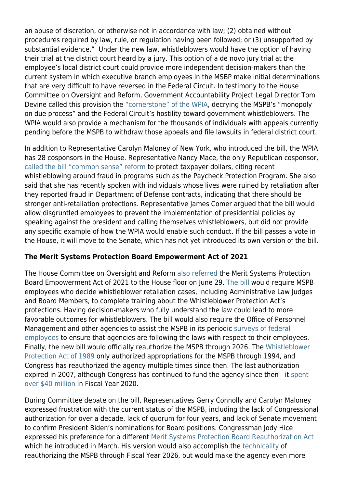an abuse of discretion, or otherwise not in accordance with law; (2) obtained without procedures required by law, rule, or regulation having been followed; or (3) unsupported by substantial evidence." Under the new law, whistleblowers would have the option of having their trial at the district court heard by a jury. This option of a de novo jury trial at the employee's local district court could provide more independent decision-makers than the current system in which executive branch employees in the MSBP make initial determinations that are very difficult to have reversed in the Federal Circuit. In testimony to the House Committee on Oversight and Reform, Government Accountability Project Legal Director Tom Devine called this provision the ["cornerstone" of the WPIA,](https://whistleblower.org/wp-content/uploads/2021/05/2021-WPIA-Written-Testimony.pdf) decrying the MSPB's "monopoly on due process" and the Federal Circuit's hostility toward government whistleblowers. The WPIA would also provide a mechanism for the thousands of individuals with appeals currently pending before the MSPB to withdraw those appeals and file lawsuits in federal district court.

In addition to Representative Carolyn Maloney of New York, who introduced the bill, the WPIA has 28 cosponsors in the House. Representative Nancy Mace, the only Republican cosponsor, [called the bill "common sense" reform](https://oversight.house.gov/legislation/business-meetings/the-committee-will-consider-the-following-1-hr1204-district-of) to protect taxpayer dollars, citing recent whistleblowing around fraud in programs such as the Paycheck Protection Program. She also said that she has recently spoken with individuals whose lives were ruined by retaliation after they reported fraud in Department of Defense contracts, indicating that there should be stronger anti-retaliation protections. Representative James Comer argued that the bill would allow disgruntled employees to prevent the implementation of presidential policies by speaking against the president and calling themselves whistleblowers, but did not provide any specific example of how the WPIA would enable such conduct. If the bill passes a vote in the House, it will move to the Senate, which has not yet introduced its own version of the bill.

## **The Merit Systems Protection Board Empowerment Act of 2021**

The House Committee on Oversight and Reform [also referred](https://www.congress.gov/bill/117th-congress/house-bill/1224/related-bills?r=7&s=1) the Merit Systems Protection Board Empowerment Act of 2021 to the House floor on June 29. [The bill](https://docs.house.gov/meetings/GO/GO00/20210629/112869/BILLS-117-HR1224-M000087-Amdt-2.pdf) would require MSPB employees who decide whistleblower retaliation cases, including Administrative Law Judges and Board Members, to complete training about the Whistleblower Protection Act's protections. Having decision-makers who fully understand the law could lead to more favorable outcomes for whistleblowers. The bill would also require the Office of Personnel Management and other agencies to assist the MSPB in its periodic [surveys of federal](https://www.mspb.gov/foia/SurveyData.htm) [employees](https://www.mspb.gov/foia/SurveyData.htm) to ensure that agencies are following the laws with respect to their employees. Finally, the new bill would officially reauthorize the MSPB through 2026. The [Whistleblower](https://www.congress.gov/bill/101st-congress/senate-bill/20/text) [Protection Act of 1989](https://www.congress.gov/bill/101st-congress/senate-bill/20/text) only authorized appropriations for the MSPB through 1994, and Congress has reauthorized the agency multiple times since then. The last authorization expired in 2007, although Congress has continued to fund the agency since then—it [spent](https://www.mspb.gov/publicaffairs/press_releases/MSPB_FY_2020_Annual_Report_Accessible_Version_1801367.pdf) [over \\$40 million](https://www.mspb.gov/publicaffairs/press_releases/MSPB_FY_2020_Annual_Report_Accessible_Version_1801367.pdf) in Fiscal Year 2020.

During Committee debate on the bill, Representatives Gerry Connolly and Carolyn Maloney expressed frustration with the current status of the MSPB, including the lack of Congressional authorization for over a decade, lack of quorum for four years, and lack of Senate movement to confirm President Biden's nominations for Board positions. Congressman Jody Hice expressed his preference for a different [Merit Systems Protection Board Reauthorization Act](https://www.congress.gov/bill/117th-congress/house-bill/1922?r=1&s=1) which he introduced in March. His version would also accomplish the [technicality](https://www.everycrsreport.com/reports/R42098.html) of reauthorizing the MSPB through Fiscal Year 2026, but would make the agency even more